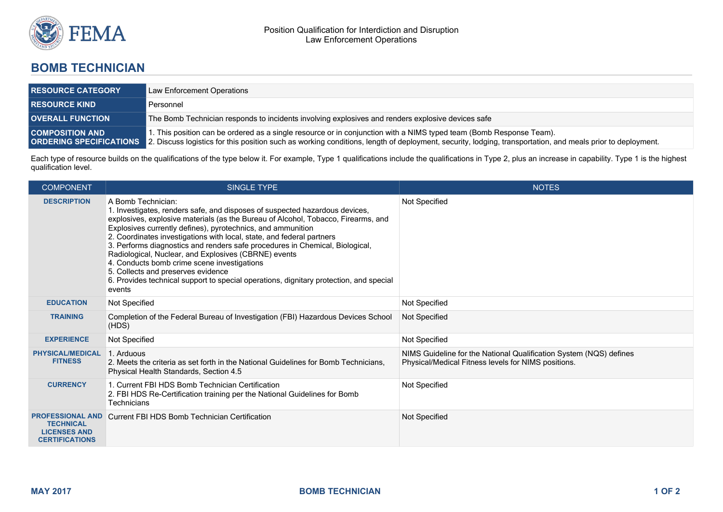

## **BOMB TECHNICIAN**

| <b>RESOURCE CATEGORY</b> | Law Enforcement Operations                                                                                                                                                                                                                                                                                       |  |
|--------------------------|------------------------------------------------------------------------------------------------------------------------------------------------------------------------------------------------------------------------------------------------------------------------------------------------------------------|--|
| <b>RESOURCE KIND</b>     | Personnel                                                                                                                                                                                                                                                                                                        |  |
| <b>OVERALL FUNCTION</b>  | The Bomb Technician responds to incidents involving explosives and renders explosive devices safe                                                                                                                                                                                                                |  |
| <b>COMPOSITION AND</b>   | 1. This position can be ordered as a single resource or in conjunction with a NIMS typed team (Bomb Response Team).<br><b>ORDERING SPECIFICATIONS</b> 2. Discuss logistics for this position such as working conditions, length of deployment, security, lodging, transportation, and meals prior to deployment. |  |

Each type of resource builds on the qualifications of the type below it. For example, Type 1 qualifications include the qualifications in Type 2, plus an increase in capability. Type 1 is the highest qualification level.

| <b>COMPONENT</b>                                                                            | <b>SINGLE TYPE</b>                                                                                                                                                                                                                                                                                                                                                                                                                                                                                                                                                                                                                                              | <b>NOTES</b>                                                                                                              |
|---------------------------------------------------------------------------------------------|-----------------------------------------------------------------------------------------------------------------------------------------------------------------------------------------------------------------------------------------------------------------------------------------------------------------------------------------------------------------------------------------------------------------------------------------------------------------------------------------------------------------------------------------------------------------------------------------------------------------------------------------------------------------|---------------------------------------------------------------------------------------------------------------------------|
| <b>DESCRIPTION</b>                                                                          | A Bomb Technician:<br>1. Investigates, renders safe, and disposes of suspected hazardous devices,<br>explosives, explosive materials (as the Bureau of Alcohol, Tobacco, Firearms, and<br>Explosives currently defines), pyrotechnics, and ammunition<br>2. Coordinates investigations with local, state, and federal partners<br>3. Performs diagnostics and renders safe procedures in Chemical, Biological,<br>Radiological, Nuclear, and Explosives (CBRNE) events<br>4. Conducts bomb crime scene investigations<br>5. Collects and preserves evidence<br>6. Provides technical support to special operations, dignitary protection, and special<br>events | Not Specified                                                                                                             |
| <b>EDUCATION</b>                                                                            | Not Specified                                                                                                                                                                                                                                                                                                                                                                                                                                                                                                                                                                                                                                                   | Not Specified                                                                                                             |
| <b>TRAINING</b>                                                                             | Completion of the Federal Bureau of Investigation (FBI) Hazardous Devices School<br>(HDS)                                                                                                                                                                                                                                                                                                                                                                                                                                                                                                                                                                       | Not Specified                                                                                                             |
| <b>EXPERIENCE</b>                                                                           | Not Specified                                                                                                                                                                                                                                                                                                                                                                                                                                                                                                                                                                                                                                                   | Not Specified                                                                                                             |
| <b>PHYSICAL/MEDICAL</b><br><b>FITNESS</b>                                                   | 1. Arduous<br>2. Meets the criteria as set forth in the National Guidelines for Bomb Technicians,<br>Physical Health Standards, Section 4.5                                                                                                                                                                                                                                                                                                                                                                                                                                                                                                                     | NIMS Guideline for the National Qualification System (NQS) defines<br>Physical/Medical Fitness levels for NIMS positions. |
| <b>CURRENCY</b>                                                                             | 1. Current FBI HDS Bomb Technician Certification<br>2. FBI HDS Re-Certification training per the National Guidelines for Bomb<br>Technicians                                                                                                                                                                                                                                                                                                                                                                                                                                                                                                                    | Not Specified                                                                                                             |
| <b>PROFESSIONAL AND</b><br><b>TECHNICAL</b><br><b>LICENSES AND</b><br><b>CERTIFICATIONS</b> | Current FBI HDS Bomb Technician Certification                                                                                                                                                                                                                                                                                                                                                                                                                                                                                                                                                                                                                   | Not Specified                                                                                                             |